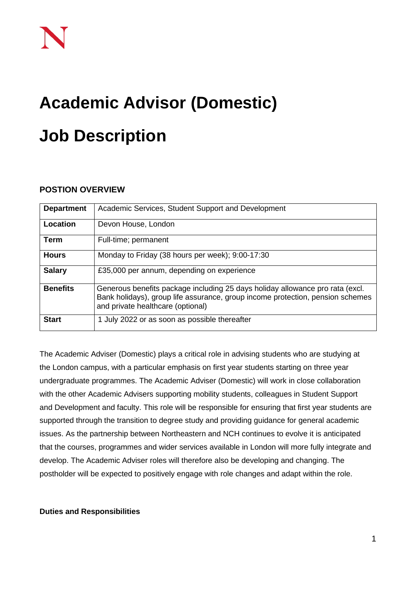# **Academic Advisor (Domestic) Job Description**

## **POSTION OVERVIEW**

| <b>Department</b> | Academic Services, Student Support and Development                                                                                                                                                   |
|-------------------|------------------------------------------------------------------------------------------------------------------------------------------------------------------------------------------------------|
| Location          | Devon House, London                                                                                                                                                                                  |
| <b>Term</b>       | Full-time; permanent                                                                                                                                                                                 |
| <b>Hours</b>      | Monday to Friday (38 hours per week); 9:00-17:30                                                                                                                                                     |
| <b>Salary</b>     | £35,000 per annum, depending on experience                                                                                                                                                           |
| <b>Benefits</b>   | Generous benefits package including 25 days holiday allowance pro rata (excl.<br>Bank holidays), group life assurance, group income protection, pension schemes<br>and private healthcare (optional) |
| <b>Start</b>      | 1 July 2022 or as soon as possible thereafter                                                                                                                                                        |

The Academic Adviser (Domestic) plays a critical role in advising students who are studying at the London campus, with a particular emphasis on first year students starting on three year undergraduate programmes. The Academic Adviser (Domestic) will work in close collaboration with the other Academic Advisers supporting mobility students, colleagues in Student Support and Development and faculty. This role will be responsible for ensuring that first year students are supported through the transition to degree study and providing guidance for general academic issues. As the partnership between Northeastern and NCH continues to evolve it is anticipated that the courses, programmes and wider services available in London will more fully integrate and develop. The Academic Adviser roles will therefore also be developing and changing. The postholder will be expected to positively engage with role changes and adapt within the role.

### **Duties and Responsibilities**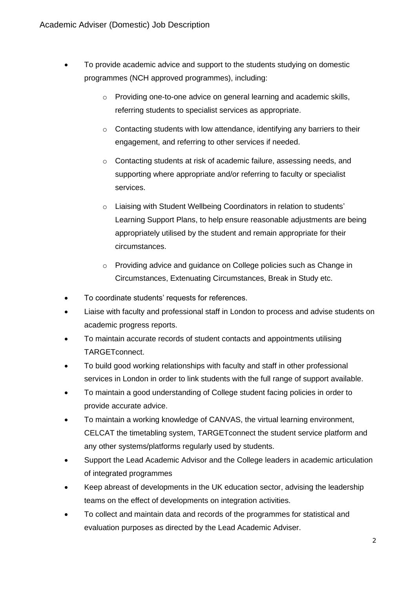- To provide academic advice and support to the students studying on domestic programmes (NCH approved programmes), including:
	- o Providing one-to-one advice on general learning and academic skills, referring students to specialist services as appropriate.
	- o Contacting students with low attendance, identifying any barriers to their engagement, and referring to other services if needed.
	- o Contacting students at risk of academic failure, assessing needs, and supporting where appropriate and/or referring to faculty or specialist services.
	- o Liaising with Student Wellbeing Coordinators in relation to students' Learning Support Plans, to help ensure reasonable adjustments are being appropriately utilised by the student and remain appropriate for their circumstances.
	- o Providing advice and guidance on College policies such as Change in Circumstances, Extenuating Circumstances, Break in Study etc.
- To coordinate students' requests for references.
- Liaise with faculty and professional staff in London to process and advise students on academic progress reports.
- To maintain accurate records of student contacts and appointments utilising TARGETconnect.
- To build good working relationships with faculty and staff in other professional services in London in order to link students with the full range of support available.
- To maintain a good understanding of College student facing policies in order to provide accurate advice.
- To maintain a working knowledge of CANVAS, the virtual learning environment, CELCAT the timetabling system, TARGETconnect the student service platform and any other systems/platforms regularly used by students.
- Support the Lead Academic Advisor and the College leaders in academic articulation of integrated programmes
- Keep abreast of developments in the UK education sector, advising the leadership teams on the effect of developments on integration activities.
- To collect and maintain data and records of the programmes for statistical and evaluation purposes as directed by the Lead Academic Adviser.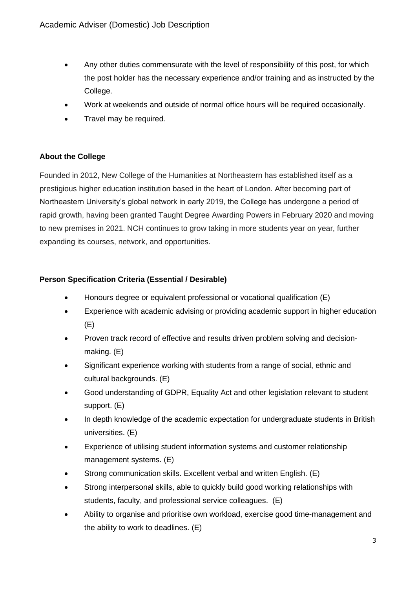- Any other duties commensurate with the level of responsibility of this post, for which the post holder has the necessary experience and/or training and as instructed by the College.
- Work at weekends and outside of normal office hours will be required occasionally.
- Travel may be required.

# **About the College**

Founded in 2012, New College of the Humanities at Northeastern has established itself as a prestigious higher education institution based in the heart of London. After becoming part of Northeastern University's global network in early 2019, the College has undergone a period of rapid growth, having been granted Taught Degree Awarding Powers in February 2020 and moving to new premises in 2021. NCH continues to grow taking in more students year on year, further expanding its courses, network, and opportunities.

## **Person Specification Criteria (Essential / Desirable)**

- Honours degree or equivalent professional or vocational qualification (E)
- Experience with academic advising or providing academic support in higher education (E)
- Proven track record of effective and results driven problem solving and decisionmaking. (E)
- Significant experience working with students from a range of social, ethnic and cultural backgrounds. (E)
- Good understanding of GDPR, Equality Act and other legislation relevant to student support. (E)
- In depth knowledge of the academic expectation for undergraduate students in British universities. (E)
- Experience of utilising student information systems and customer relationship management systems. (E)
- Strong communication skills. Excellent verbal and written English. (E)
- Strong interpersonal skills, able to quickly build good working relationships with students, faculty, and professional service colleagues. (E)
- Ability to organise and prioritise own workload, exercise good time-management and the ability to work to deadlines. (E)